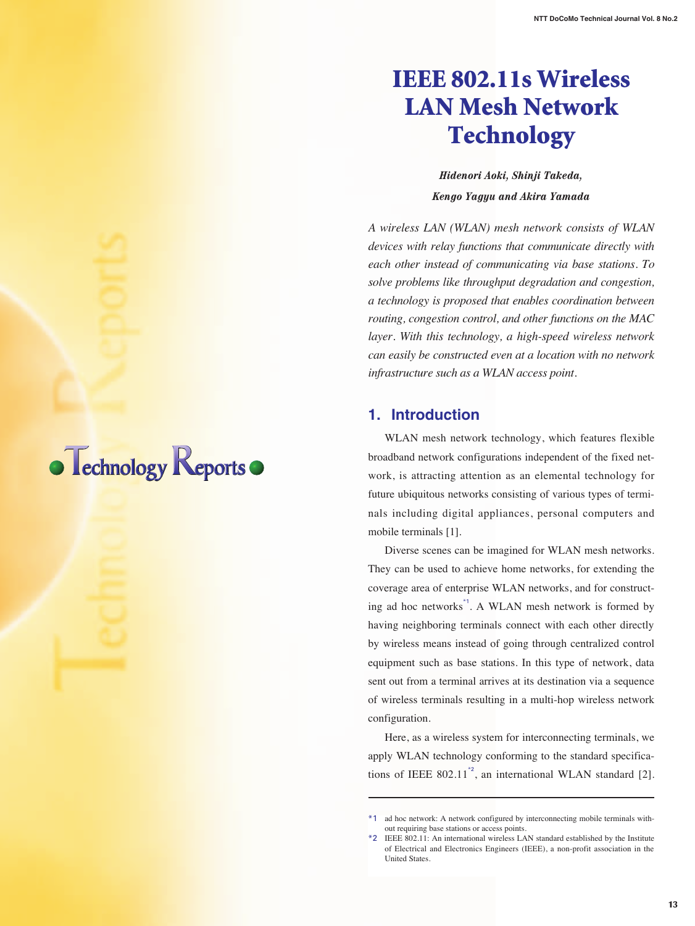# **IEEE 802.11s Wireless LAN Mesh Network Technology**

*Hidenori Aoki, Shinji Takeda, Kengo Yagyu and Akira Yamada*

*A wireless LAN (WLAN) mesh network consists of WLAN devices with relay functions that communicate directly with each other instead of communicating via base stations. To solve problems like throughput degradation and congestion, a technology is proposed that enables coordination between routing, congestion control, and other functions on the MAC layer. With this technology, a high-speed wireless network can easily be constructed even at a location with no network infrastructure such as a WLAN access point.* 

## **1. Introduction**

WLAN mesh network technology, which features flexible broadband network configurations independent of the fixed network, is attracting attention as an elemental technology for future ubiquitous networks consisting of various types of terminals including digital appliances, personal computers and mobile terminals [1].

Diverse scenes can be imagined for WLAN mesh networks. They can be used to achieve home networks, for extending the coverage area of enterprise WLAN networks, and for constructing ad hoc networks<sup>\*1</sup>. A WLAN mesh network is formed by having neighboring terminals connect with each other directly by wireless means instead of going through centralized control equipment such as base stations. In this type of network, data sent out from a terminal arrives at its destination via a sequence of wireless terminals resulting in a multi-hop wireless network configuration.

Here, as a wireless system for interconnecting terminals, we apply WLAN technology conforming to the standard specifications of IEEE 802.11<sup> $\degree$ </sup>, an international WLAN standard [2].



<sup>\*1</sup> ad hoc network: A network configured by interconnecting mobile terminals without requiring base stations or access points.

<sup>\*2</sup> IEEE 802.11: An international wireless LAN standard established by the Institute of Electrical and Electronics Engineers (IEEE), a non-profit association in the United States.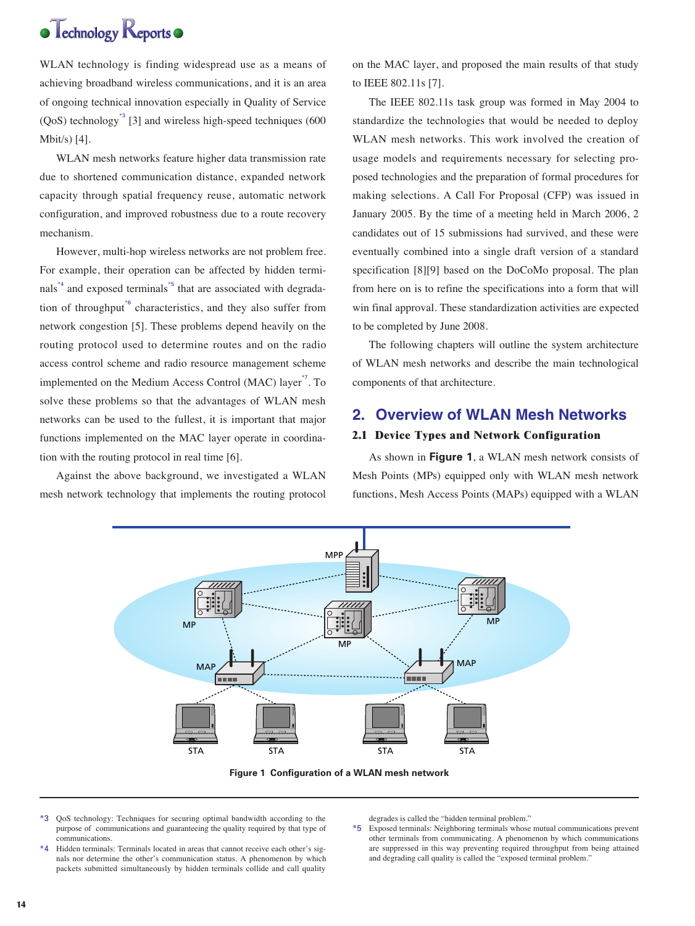

WLAN technology is finding widespread use as a means of achieving broadband wireless communications, and it is an area of ongoing technical innovation especially in Quality of Service  $(OoS)$  technology<sup>\*3</sup> [3] and wireless high-speed techniques (600) Mbit/s) [4].

WLAN mesh networks feature higher data transmission rate due to shortened communication distance, expanded network capacity through spatial frequency reuse, automatic network configuration, and improved robustness due to a route recovery mechanism.

However, multi-hop wireless networks are not problem free. For example, their operation can be affected by hidden terminals<sup> $*4$ </sup> and exposed terminals $*5$  that are associated with degradation of throughput<sup>\*6</sup> characteristics, and they also suffer from network congestion [5]. These problems depend heavily on the routing protocol used to determine routes and on the radio access control scheme and radio resource management scheme implemented on the Medium Access Control (MAC) layer<sup>\*7</sup>. To solve these problems so that the advantages of WLAN mesh networks can be used to the fullest, it is important that major functions implemented on the MAC layer operate in coordination with the routing protocol in real time [6].

Against the above background, we investigated a WLAN mesh network technology that implements the routing protocol on the MAC layer, and proposed the main results of that study to IEEE 802.11s [7].

The IEEE 802.11s task group was formed in May 2004 to standardize the technologies that would be needed to deploy WLAN mesh networks. This work involved the creation of usage models and requirements necessary for selecting proposed technologies and the preparation of formal procedures for making selections. A Call For Proposal (CFP) was issued in January 2005. By the time of a meeting held in March 2006, 2 candidates out of 15 submissions had survived, and these were eventually combined into a single draft version of a standard specification [8][9] based on the DoCoMo proposal. The plan from here on is to refine the specifications into a form that will win final approval. These standardization activities are expected to be completed by June 2008.

The following chapters will outline the system architecture of WLAN mesh networks and describe the main technological components of that architecture.

## **2. Overview of WLAN Mesh Networks**

## **2.1 Device Types and Network Configuration**

As shown in **Figure 1**, a WLAN mesh network consists of Mesh Points (MPs) equipped only with WLAN mesh network functions, Mesh Access Points (MAPs) equipped with a WLAN



**Figure 1 Configuration of a WLAN mesh network**

- \*3 QoS technology: Techniques for securing optimal bandwidth according to the purpose of communications and guaranteeing the quality required by that type of communications.
- \*4 Hidden terminals: Terminals located in areas that cannot receive each other's signals nor determine the other's communication status. A phenomenon by which packets submitted simultaneously by hidden terminals collide and call quality

degrades is called the "hidden terminal problem."

\*5 Exposed terminals: Neighboring terminals whose mutual communications prevent other terminals from communicating. A phenomenon by which communications are suppressed in this way preventing required throughput from being attained and degrading call quality is called the "exposed terminal problem."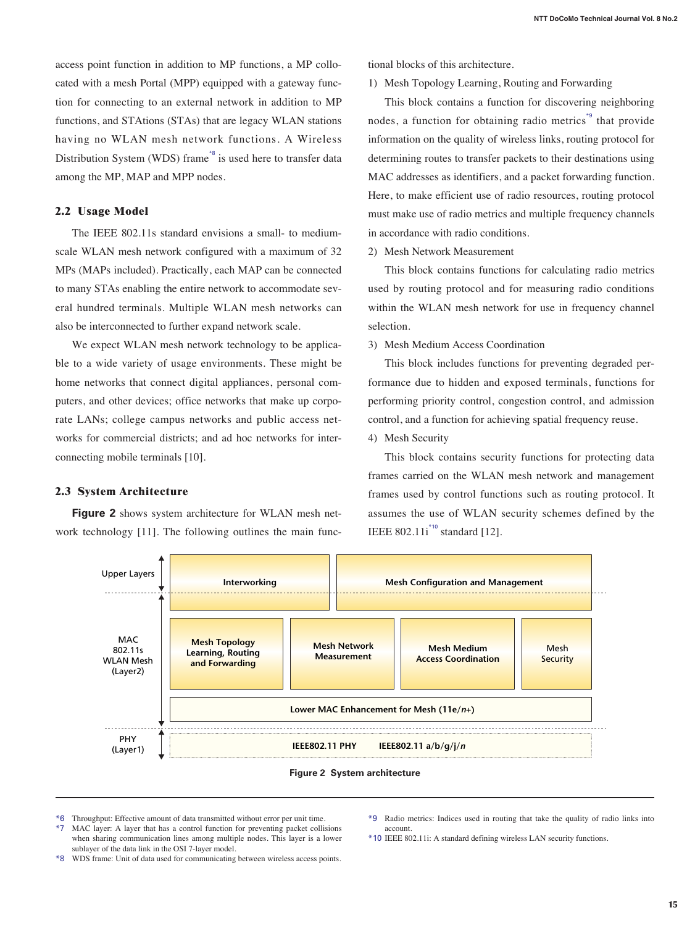access point function in addition to MP functions, a MP collocated with a mesh Portal (MPP) equipped with a gateway function for connecting to an external network in addition to MP functions, and STAtions (STAs) that are legacy WLAN stations having no WLAN mesh network functions. A Wireless Distribution System (WDS) frame<sup>\*8</sup> is used here to transfer data among the MP, MAP and MPP nodes.

## **2.2 Usage Model**

**2.3 System Architecture**

The IEEE 802.11s standard envisions a small- to mediumscale WLAN mesh network configured with a maximum of 32 MPs (MAPs included). Practically, each MAP can be connected to many STAs enabling the entire network to accommodate several hundred terminals. Multiple WLAN mesh networks can also be interconnected to further expand network scale.

We expect WLAN mesh network technology to be applicable to a wide variety of usage environments. These might be home networks that connect digital appliances, personal computers, and other devices; office networks that make up corporate LANs; college campus networks and public access networks for commercial districts; and ad hoc networks for interconnecting mobile terminals [10].

tional blocks of this architecture.

1) Mesh Topology Learning, Routing and Forwarding

This block contains a function for discovering neighboring nodes, a function for obtaining radio metrics<sup>\*9</sup> that provide information on the quality of wireless links, routing protocol for determining routes to transfer packets to their destinations using MAC addresses as identifiers, and a packet forwarding function. Here, to make efficient use of radio resources, routing protocol must make use of radio metrics and multiple frequency channels in accordance with radio conditions.

2) Mesh Network Measurement

This block contains functions for calculating radio metrics used by routing protocol and for measuring radio conditions within the WLAN mesh network for use in frequency channel selection.

3) Mesh Medium Access Coordination

This block includes functions for preventing degraded performance due to hidden and exposed terminals, functions for performing priority control, congestion control, and admission control, and a function for achieving spatial frequency reuse.

4) Mesh Security

This block contains security functions for protecting data frames carried on the WLAN mesh network and management frames used by control functions such as routing protocol. It assumes the use of WLAN security schemes defined by the

Mesh





- 
- \*6 Throughput: Effective amount of data transmitted without error per unit time.
- \*7 MAC layer: A layer that has a control function for preventing packet collisions when sharing communication lines among multiple nodes. This layer is a lower sublayer of the data link in the OSI 7-layer model.

\*9 Radio metrics: Indices used in routing that take the quality of radio links into account.

- \*10 IEEE 802.11i: A standard defining wireless LAN security functions.
- \*8 WDS frame: Unit of data used for communicating between wireless access points.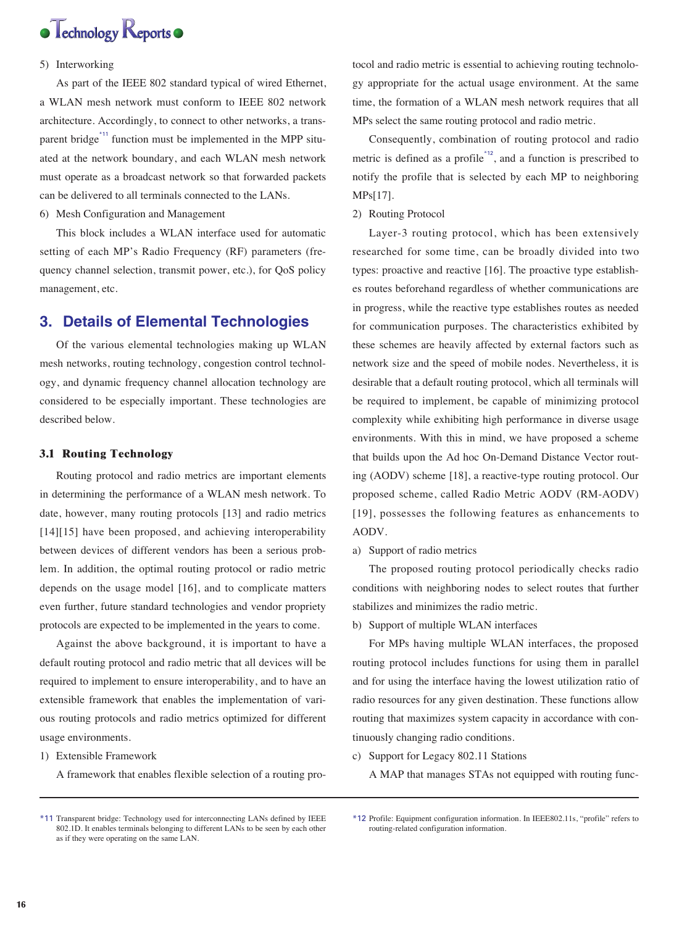

## 5) Interworking

As part of the IEEE 802 standard typical of wired Ethernet, a WLAN mesh network must conform to IEEE 802 network architecture. Accordingly, to connect to other networks, a transparent bridge<sup>\*11</sup> function must be implemented in the MPP situated at the network boundary, and each WLAN mesh network must operate as a broadcast network so that forwarded packets can be delivered to all terminals connected to the LANs.

6) Mesh Configuration and Management

This block includes a WLAN interface used for automatic setting of each MP's Radio Frequency (RF) parameters (frequency channel selection, transmit power, etc.), for QoS policy management, etc.

## **3. Details of Elemental Technologies**

Of the various elemental technologies making up WLAN mesh networks, routing technology, congestion control technology, and dynamic frequency channel allocation technology are considered to be especially important. These technologies are described below.

### **3.1 Routing Technology**

Routing protocol and radio metrics are important elements in determining the performance of a WLAN mesh network. To date, however, many routing protocols [13] and radio metrics [14][15] have been proposed, and achieving interoperability between devices of different vendors has been a serious problem. In addition, the optimal routing protocol or radio metric depends on the usage model [16], and to complicate matters even further, future standard technologies and vendor propriety protocols are expected to be implemented in the years to come.

Against the above background, it is important to have a default routing protocol and radio metric that all devices will be required to implement to ensure interoperability, and to have an extensible framework that enables the implementation of various routing protocols and radio metrics optimized for different usage environments.

1) Extensible Framework

A framework that enables flexible selection of a routing pro-

tocol and radio metric is essential to achieving routing technology appropriate for the actual usage environment. At the same time, the formation of a WLAN mesh network requires that all MPs select the same routing protocol and radio metric.

Consequently, combination of routing protocol and radio metric is defined as a profile\*12, and a function is prescribed to notify the profile that is selected by each MP to neighboring MPs[17].

2) Routing Protocol

Layer-3 routing protocol, which has been extensively researched for some time, can be broadly divided into two types: proactive and reactive [16]. The proactive type establishes routes beforehand regardless of whether communications are in progress, while the reactive type establishes routes as needed for communication purposes. The characteristics exhibited by these schemes are heavily affected by external factors such as network size and the speed of mobile nodes. Nevertheless, it is desirable that a default routing protocol, which all terminals will be required to implement, be capable of minimizing protocol complexity while exhibiting high performance in diverse usage environments. With this in mind, we have proposed a scheme that builds upon the Ad hoc On-Demand Distance Vector routing (AODV) scheme [18], a reactive-type routing protocol. Our proposed scheme, called Radio Metric AODV (RM-AODV) [19], possesses the following features as enhancements to AODV.

a) Support of radio metrics

The proposed routing protocol periodically checks radio conditions with neighboring nodes to select routes that further stabilizes and minimizes the radio metric.

b) Support of multiple WLAN interfaces

For MPs having multiple WLAN interfaces, the proposed routing protocol includes functions for using them in parallel and for using the interface having the lowest utilization ratio of radio resources for any given destination. These functions allow routing that maximizes system capacity in accordance with continuously changing radio conditions.

c) Support for Legacy 802.11 Stations

A MAP that manages STAs not equipped with routing func-

<sup>\*11</sup> Transparent bridge: Technology used for interconnecting LANs defined by IEEE 802.1D. It enables terminals belonging to different LANs to be seen by each other as if they were operating on the same LAN.

<sup>\*12</sup> Profile: Equipment configuration information. In IEEE802.11s, "profile" refers to routing-related configuration information.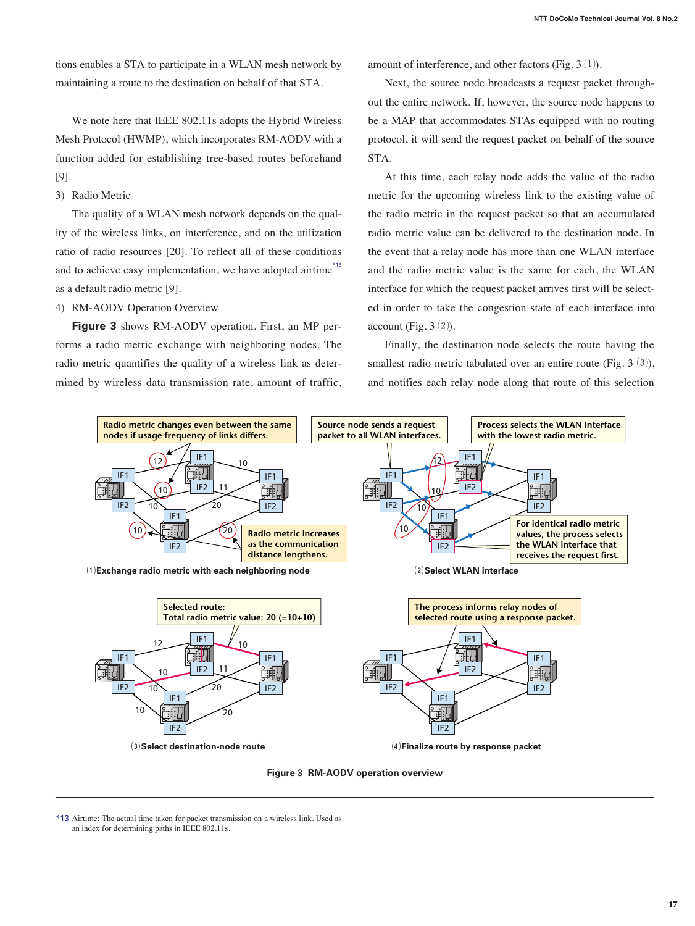tions enables a STA to participate in a WLAN mesh network by maintaining a route to the destination on behalf of that STA.

We note here that IEEE 802.11s adopts the Hybrid Wireless Mesh Protocol (HWMP), which incorporates RM-AODV with a function added for establishing tree-based routes beforehand [9].

3) Radio Metric

The quality of a WLAN mesh network depends on the quality of the wireless links, on interference, and on the utilization ratio of radio resources [20]. To reflect all of these conditions and to achieve easy implementation, we have adopted airtime<sup>\*13</sup> as a default radio metric [9].

4) RM-AODV Operation Overview

**Figure 3** shows RM-AODV operation. First, an MP performs a radio metric exchange with neighboring nodes. The radio metric quantifies the quality of a wireless link as determined by wireless data transmission rate, amount of traffic, amount of interference, and other factors (Fig.  $3(1)$ ).

Next, the source node broadcasts a request packet throughout the entire network. If, however, the source node happens to be a MAP that accommodates STAs equipped with no routing protocol, it will send the request packet on behalf of the source STA.

At this time, each relay node adds the value of the radio metric for the upcoming wireless link to the existing value of the radio metric in the request packet so that an accumulated radio metric value can be delivered to the destination node. In the event that a relay node has more than one WLAN interface and the radio metric value is the same for each, the WLAN interface for which the request packet arrives first will be selected in order to take the congestion state of each interface into account (Fig.  $3(2)$ ).

Finally, the destination node selects the route having the smallest radio metric tabulated over an entire route (Fig.  $3(3)$ ), and notifies each relay node along that route of this selection



**Figure 3 RM-AODV operation overview**

\*13 Airtime: The actual time taken for packet transmission on a wireless link. Used as an index for determining paths in IEEE 802.11s.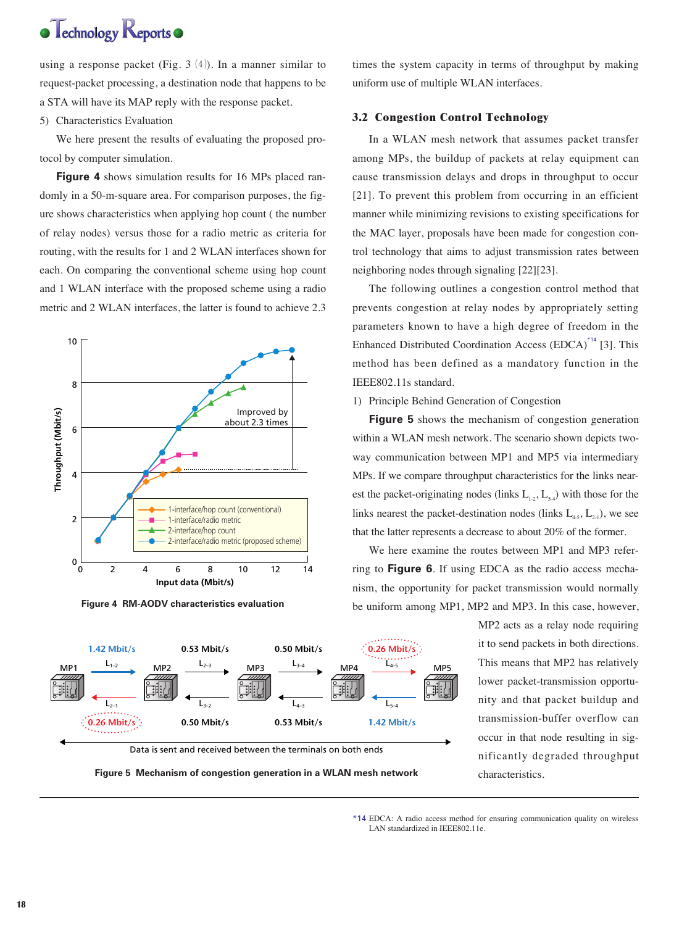# $\bullet$  Technology Reports

using a response packet (Fig. 3  $(4)$ ). In a manner similar to request-packet processing, a destination node that happens to be a STA will have its MAP reply with the response packet.

5) Characteristics Evaluation

We here present the results of evaluating the proposed protocol by computer simulation.

**Figure 4** shows simulation results for 16 MPs placed randomly in a 50-m-square area. For comparison purposes, the figure shows characteristics when applying hop count ( the number of relay nodes) versus those for a radio metric as criteria for routing, with the results for 1 and 2 WLAN interfaces shown for each. On comparing the conventional scheme using hop count and 1 WLAN interface with the proposed scheme using a radio metric and 2 WLAN interfaces, the latter is found to achieve 2.3



**Figure 4 RM-AODV characteristics evaluation**

times the system capacity in terms of throughput by making uniform use of multiple WLAN interfaces.

## **3.2 Congestion Control Technology**

In a WLAN mesh network that assumes packet transfer among MPs, the buildup of packets at relay equipment can cause transmission delays and drops in throughput to occur [21]. To prevent this problem from occurring in an efficient manner while minimizing revisions to existing specifications for the MAC layer, proposals have been made for congestion control technology that aims to adjust transmission rates between neighboring nodes through signaling [22][23].

The following outlines a congestion control method that prevents congestion at relay nodes by appropriately setting parameters known to have a high degree of freedom in the Enhanced Distributed Coordination Access (EDCA)<sup>\*14</sup> [3]. This method has been defined as a mandatory function in the IEEE802.11s standard.

### 1) Principle Behind Generation of Congestion

**Figure 5** shows the mechanism of congestion generation within a WLAN mesh network. The scenario shown depicts twoway communication between MP1 and MP5 via intermediary MPs. If we compare throughput characteristics for the links nearest the packet-originating nodes (links  $L_{1,2}$ ,  $L_{5,4}$ ) with those for the links nearest the packet-destination nodes (links  $L_{4.5}$ ,  $L_{2.1}$ ), we see that the latter represents a decrease to about 20% of the former.

We here examine the routes between MP1 and MP3 referring to **Figure 6**. If using EDCA as the radio access mechanism, the opportunity for packet transmission would normally be uniform among MP1, MP2 and MP3. In this case, however,

> MP2 acts as a relay node requiring it to send packets in both directions. This means that MP2 has relatively lower packet-transmission opportunity and that packet buildup and transmission-buffer overflow can occur in that node resulting in significantly degraded throughput characteristics.





<sup>\*14</sup> EDCA: A radio access method for ensuring communication quality on wireless LAN standardized in IEEE802.11e.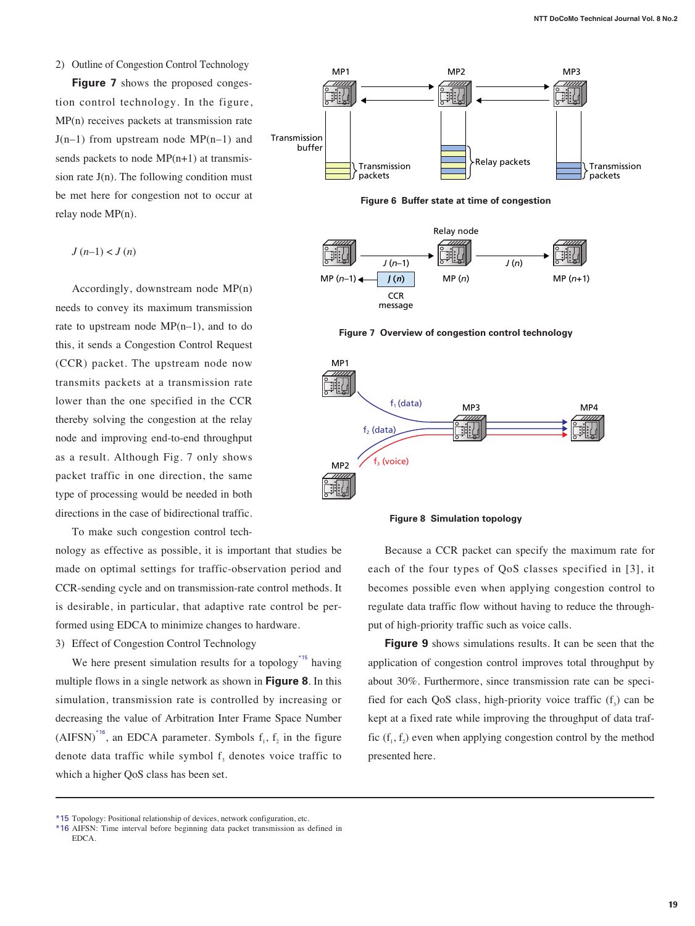### 2) Outline of Congestion Control Technology

**Figure 7** shows the proposed congestion control technology. In the figure, MP(n) receives packets at transmission rate  $J(n-1)$  from upstream node MP(n–1) and sends packets to node MP(n+1) at transmission rate  $J(n)$ . The following condition must be met here for congestion not to occur at relay node MP(n).

$$
J(n-1) < J(n)
$$

Accordingly, downstream node MP(n) needs to convey its maximum transmission rate to upstream node MP(n–1), and to do this, it sends a Congestion Control Request (CCR) packet. The upstream node now transmits packets at a transmission rate lower than the one specified in the CCR thereby solving the congestion at the relay node and improving end-to-end throughput as a result. Although Fig. 7 only shows packet traffic in one direction, the same type of processing would be needed in both directions in the case of bidirectional traffic.

To make such congestion control tech-

nology as effective as possible, it is important that studies be made on optimal settings for traffic-observation period and CCR-sending cycle and on transmission-rate control methods. It is desirable, in particular, that adaptive rate control be performed using EDCA to minimize changes to hardware.

3) Effect of Congestion Control Technology

We here present simulation results for a topology<sup>\*15</sup> having multiple flows in a single network as shown in **Figure 8**. In this simulation, transmission rate is controlled by increasing or decreasing the value of Arbitration Inter Frame Space Number  $(AIFSN)^{16}$ , an EDCA parameter. Symbols  $f_1$ ,  $f_2$  in the figure denote data traffic while symbol  $f<sub>3</sub>$  denotes voice traffic to which a higher QoS class has been set.







**Figure 7 Overview of congestion control technology**



**Figure 8 Simulation topology**

Because a CCR packet can specify the maximum rate for each of the four types of QoS classes specified in [3], it becomes possible even when applying congestion control to regulate data traffic flow without having to reduce the throughput of high-priority traffic such as voice calls.

**Figure 9** shows simulations results. It can be seen that the application of congestion control improves total throughput by about 30%. Furthermore, since transmission rate can be specified for each QoS class, high-priority voice traffic  $(f_2)$  can be kept at a fixed rate while improving the throughput of data traffic  $(f_1, f_2)$  even when applying congestion control by the method presented here.

<sup>\*15</sup> Topology: Positional relationship of devices, network configuration, etc.

<sup>\*16</sup> AIFSN: Time interval before beginning data packet transmission as defined in EDCA.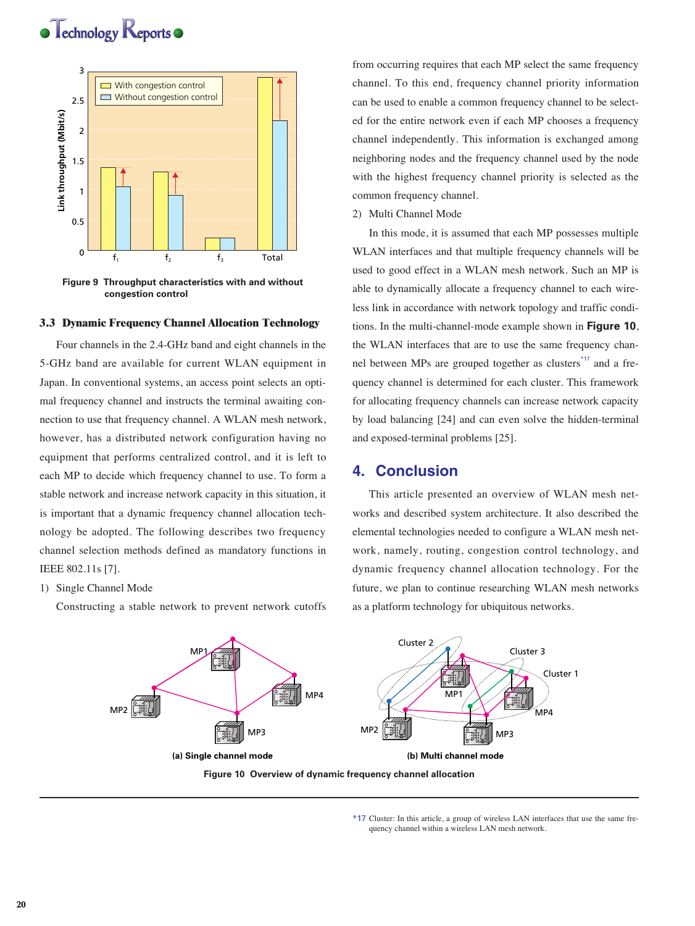



**Figure 9 Throughput characteristics with and without congestion control**

#### **3.3 Dynamic Frequency Channel Allocation Technology**

Four channels in the 2.4-GHz band and eight channels in the 5-GHz band are available for current WLAN equipment in Japan. In conventional systems, an access point selects an optimal frequency channel and instructs the terminal awaiting connection to use that frequency channel. A WLAN mesh network, however, has a distributed network configuration having no equipment that performs centralized control, and it is left to each MP to decide which frequency channel to use. To form a stable network and increase network capacity in this situation, it is important that a dynamic frequency channel allocation technology be adopted. The following describes two frequency channel selection methods defined as mandatory functions in IEEE 802.11s [7].

### 1) Single Channel Mode

Constructing a stable network to prevent network cutoffs

from occurring requires that each MP select the same frequency channel. To this end, frequency channel priority information can be used to enable a common frequency channel to be selected for the entire network even if each MP chooses a frequency channel independently. This information is exchanged among neighboring nodes and the frequency channel used by the node with the highest frequency channel priority is selected as the common frequency channel.

2) Multi Channel Mode

In this mode, it is assumed that each MP possesses multiple WLAN interfaces and that multiple frequency channels will be used to good effect in a WLAN mesh network. Such an MP is able to dynamically allocate a frequency channel to each wireless link in accordance with network topology and traffic conditions. In the multi-channel-mode example shown in **Figure 10**, the WLAN interfaces that are to use the same frequency channel between MPs are grouped together as clusters<sup>\*17</sup> and a frequency channel is determined for each cluster. This framework for allocating frequency channels can increase network capacity by load balancing [24] and can even solve the hidden-terminal and exposed-terminal problems [25].

## **4. Conclusion**

This article presented an overview of WLAN mesh networks and described system architecture. It also described the elemental technologies needed to configure a WLAN mesh network, namely, routing, congestion control technology, and dynamic frequency channel allocation technology. For the future, we plan to continue researching WLAN mesh networks as a platform technology for ubiquitous networks.



<sup>\*17</sup> Cluster: In this article, a group of wireless LAN interfaces that use the same frequency channel within a wireless LAN mesh network.